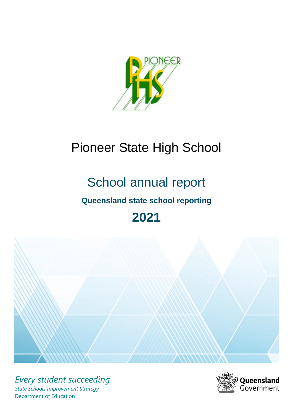

# Pioneer State High School

# School annual report

# **Queensland state school reporting**

# **2021**



*Every student succeeding State Schools Improvement Strategy* Department of Education

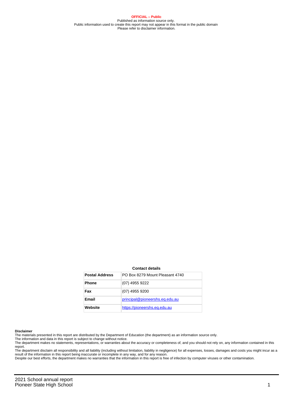**OFFICIAL – Public** Published as information source only. Public information used to create this report may not appear in this format in the public domain Please refer to disclaimer information.

#### **Contact details**

| <b>Postal Address</b> | PO Box 8279 Mount Pleasant 4740 |
|-----------------------|---------------------------------|
| <b>Phone</b>          | (07) 4955 9222                  |
| Fax                   | (07) 4955 9200                  |
| <b>Email</b>          | principal@pioneershs.eq.edu.au  |
| Website               | https://pioneershs.eq.edu.au    |

#### **Disclaimer**

The materials presented in this report are distributed by the Department of Education (the department) as an information source only.

The information and data in this report is subject to change without notice.<br>The department makes no statements, representations, or warranties about the accuracy or completeness of, and you should not rely on, any informa report. The department disclaim all responsibility and all liability (including without limitation, liability in negligence) for all expenses, losses, damages and costs you might incur as a

result of the information in this report being inaccurate or incomplete in any way, and for any reason. Despite our best efforts, the department makes no warranties that the information in this report is free of infection by computer viruses or other contamination.

2021 School annual report Pioneer State High School 1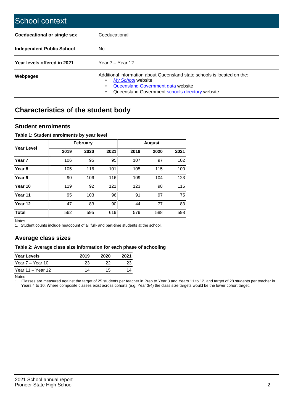| School context                   |                                                                                                                                                                                              |
|----------------------------------|----------------------------------------------------------------------------------------------------------------------------------------------------------------------------------------------|
| Coeducational or single sex      | Coeducational                                                                                                                                                                                |
| <b>Independent Public School</b> | No.                                                                                                                                                                                          |
| Year levels offered in 2021      | Year $7 -$ Year 12                                                                                                                                                                           |
| Webpages                         | Additional information about Queensland state schools is located on the:<br>My School website<br>Queensland Government data website<br>Queensland Government schools directory website.<br>٠ |

# **Characteristics of the student body**

## **Student enrolments**

### **Table 1: Student enrolments by year level**

|                   |      | <b>February</b> |      |      | <b>August</b> |      |
|-------------------|------|-----------------|------|------|---------------|------|
| <b>Year Level</b> | 2019 | 2020            | 2021 | 2019 | 2020          | 2021 |
| Year <sub>7</sub> | 106  | 95              | 95   | 107  | 97            | 102  |
| Year <sub>8</sub> | 105  | 116             | 101  | 105  | 115           | 100  |
| Year 9            | 90   | 106             | 116  | 109  | 104           | 123  |
| Year 10           | 119  | 92              | 121  | 123  | 98            | 115  |
| Year 11           | 95   | 103             | 96   | 91   | 97            | 75   |
| Year 12           | 47   | 83              | 90   | 44   | 77            | 83   |
| <b>Total</b>      | 562  | 595             | 619  | 579  | 588           | 598  |

Notes

1. Student counts include headcount of all full- and part-time students at the school.

# **Average class sizes**

#### **Table 2: Average class size information for each phase of schooling**

| <b>Year Levels</b> | 2019 | 2020 | 2021 |
|--------------------|------|------|------|
| Year 7 – Year 10   | 23   | つつ   | 23   |
| Year 11 – Year 12  | 14   | 15   | 14   |

Notes

1. Classes are measured against the target of 25 students per teacher in Prep to Year 3 and Years 11 to 12, and target of 28 students per teacher in Years 4 to 10. Where composite classes exist across cohorts (e.g. Year 3/4) the class size targets would be the lower cohort target.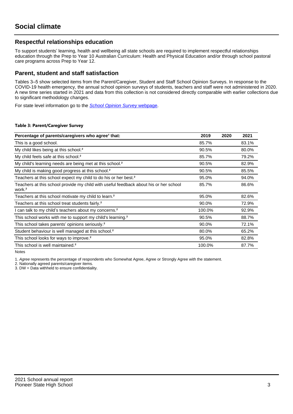# **Respectful relationships education**

To support students' learning, health and wellbeing all state schools are required to implement respectful relationships education through the Prep to Year 10 Australian Curriculum: Health and Physical Education and/or through school pastoral care programs across Prep to Year 12.

## **Parent, student and staff satisfaction**

Tables 3–5 show selected items from the Parent/Caregiver, Student and Staff School Opinion Surveys. In response to the COVID-19 health emergency, the annual school opinion surveys of students, teachers and staff were not administered in 2020. A new time series started in 2021 and data from this collection is not considered directly comparable with earlier collections due to significant methodology changes.

For state level information go to the **[School Opinion Survey](https://qed.qld.gov.au/publications/reports/statistics/schooling/schools/schoolopinionsurvey) webpage**.

#### **Table 3: Parent/Caregiver Survey**

| Percentage of parents/caregivers who agree <sup>1</sup> that:                                               | 2019   | 2020 | 2021  |
|-------------------------------------------------------------------------------------------------------------|--------|------|-------|
| This is a good school.                                                                                      | 85.7%  |      | 83.1% |
| My child likes being at this school. <sup>2</sup>                                                           | 90.5%  |      | 80.0% |
| My child feels safe at this school. <sup>2</sup>                                                            | 85.7%  |      | 79.2% |
| My child's learning needs are being met at this school. <sup>2</sup>                                        | 90.5%  |      | 82.9% |
| My child is making good progress at this school. <sup>2</sup>                                               | 90.5%  |      | 85.5% |
| Teachers at this school expect my child to do his or her best. <sup>2</sup>                                 | 95.0%  |      | 94.0% |
| Teachers at this school provide my child with useful feedback about his or her school<br>work. <sup>2</sup> | 85.7%  |      | 86.6% |
| Teachers at this school motivate my child to learn. <sup>2</sup>                                            | 95.0%  |      | 82.6% |
| Teachers at this school treat students fairly. <sup>2</sup>                                                 | 90.0%  |      | 72.9% |
| I can talk to my child's teachers about my concerns. <sup>2</sup>                                           | 100.0% |      | 92.9% |
| This school works with me to support my child's learning. <sup>2</sup>                                      | 90.5%  |      | 88.7% |
| This school takes parents' opinions seriously. <sup>2</sup>                                                 | 90.0%  |      | 72.1% |
| Student behaviour is well managed at this school. <sup>2</sup>                                              | 80.0%  |      | 65.2% |
| This school looks for ways to improve. <sup>2</sup>                                                         | 95.0%  |      | 82.8% |
| This school is well maintained. <sup>2</sup>                                                                | 100.0% |      | 87.7% |

Notes

1. Agree represents the percentage of respondents who Somewhat Agree, Agree or Strongly Agree with the statement.

2. Nationally agreed parents/caregiver items.

3. DW = Data withheld to ensure confidentiality.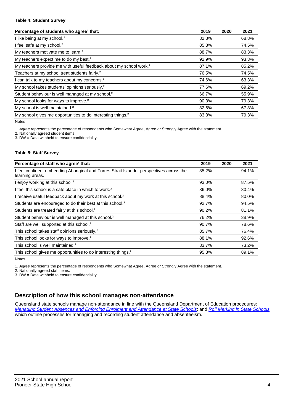#### **Table 4: Student Survey**

| Percentage of students who agree <sup>1</sup> that:                            | 2019  | 2020 | 2021  |
|--------------------------------------------------------------------------------|-------|------|-------|
| I like being at my school. <sup>2</sup>                                        | 82.8% |      | 68.8% |
| I feel safe at my school. <sup>2</sup>                                         | 85.3% |      | 74.5% |
| My teachers motivate me to learn. <sup>2</sup>                                 | 88.7% |      | 83.3% |
| My teachers expect me to do my best. <sup>2</sup>                              | 92.9% |      | 93.3% |
| My teachers provide me with useful feedback about my school work. <sup>2</sup> | 87.1% |      | 85.2% |
| Teachers at my school treat students fairly. <sup>2</sup>                      | 76.5% |      | 74.5% |
| I can talk to my teachers about my concerns. <sup>2</sup>                      | 74.6% |      | 63.3% |
| My school takes students' opinions seriously. <sup>2</sup>                     | 77.6% |      | 69.2% |
| Student behaviour is well managed at my school. <sup>2</sup>                   | 66.7% |      | 55.9% |
| My school looks for ways to improve. <sup>2</sup>                              | 90.3% |      | 79.3% |
| My school is well maintained. <sup>2</sup>                                     | 82.6% |      | 67.8% |
| My school gives me opportunities to do interesting things. <sup>2</sup>        | 83.3% |      | 79.3% |

Notes

1. Agree represents the percentage of respondents who Somewhat Agree, Agree or Strongly Agree with the statement.

2. Nationally agreed student items.

3. DW = Data withheld to ensure confidentiality.

### **Table 5: Staff Survey**

| Percentage of staff who agree <sup>1</sup> that:                                                            | 2019  | 2020 | 2021  |
|-------------------------------------------------------------------------------------------------------------|-------|------|-------|
| I feel confident embedding Aboriginal and Torres Strait Islander perspectives across the<br>learning areas. | 85.2% |      | 94.1% |
| I enjoy working at this school. <sup>2</sup>                                                                | 93.0% |      | 87.5% |
| I feel this school is a safe place in which to work. <sup>2</sup>                                           | 86.0% |      | 80.4% |
| I receive useful feedback about my work at this school. <sup>2</sup>                                        | 88.4% |      | 80.0% |
| Students are encouraged to do their best at this school. <sup>2</sup>                                       | 92.7% |      | 94.5% |
| Students are treated fairly at this school. <sup>2</sup>                                                    | 90.2% |      | 81.1% |
| Student behaviour is well managed at this school. <sup>2</sup>                                              | 76.2% |      | 38.9% |
| Staff are well supported at this school. <sup>2</sup>                                                       | 90.7% |      | 78.6% |
| This school takes staff opinions seriously. <sup>2</sup>                                                    | 85.7% |      | 76.4% |
| This school looks for ways to improve. <sup>2</sup>                                                         | 88.1% |      | 92.6% |
| This school is well maintained. <sup>2</sup>                                                                | 83.7% |      | 73.2% |
| This school gives me opportunities to do interesting things. <sup>2</sup>                                   | 95.3% |      | 89.1% |

Notes

1. Agree represents the percentage of respondents who Somewhat Agree, Agree or Strongly Agree with the statement.

2. Nationally agreed staff items.

3. DW = Data withheld to ensure confidentiality.

# **Description of how this school manages non-attendance**

Queensland state schools manage non-attendance in line with the Queensland Department of Education procedures: [Managing Student Absences and Enforcing Enrolment and Attendance at State Schools](https://ppr.qed.qld.gov.au/pp/managing-student-absences-and-enforcing-enrolment-and-attendance-at-state-schools-procedure); and [Roll Marking in State Schools,](https://ppr.qed.qld.gov.au/pp/roll-marking-in-state-schools-procedure) which outline processes for managing and recording student attendance and absenteeism.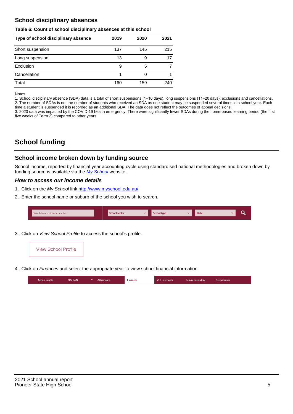# **School disciplinary absences**

#### **Table 6: Count of school disciplinary absences at this school**

| Type of school disciplinary absence | 2019 | 2020 | 2021 |
|-------------------------------------|------|------|------|
| Short suspension                    | 137  | 145  | 215  |
| Long suspension                     | 13   | 9    | 17   |
| Exclusion                           | 9    | 5    |      |
| Cancellation                        |      |      |      |
| Total                               | 160  | 159  | 240  |

#### Notes

1. School disciplinary absence (SDA) data is a total of short suspensions (1–10 days), long suspensions (11–20 days), exclusions and cancellations. 2. The number of SDAs is not the number of students who received an SDA as one student may be suspended several times in a school year. Each time a student is suspended it is recorded as an additional SDA. The data does not reflect the outcomes of appeal decisions.

3. 2020 data was impacted by the COVID-19 health emergency. There were significantly fewer SDAs during the home-based learning period (the first five weeks of Term 2) compared to other years.

# **School funding**

## **School income broken down by funding source**

School income, reported by financial year accounting cycle using standardised national methodologies and broken down by funding source is available via the [My School](http://www.myschool.edu.au/) website.

### **How to access our income details**

- 1. Click on the My School link <http://www.myschool.edu.au/>.
- 2. Enter the school name or suburb of the school you wish to search.

| Search by school name or suburb | <b>School sector</b> | <b>School type</b> | <b>State</b> | ∽ |
|---------------------------------|----------------------|--------------------|--------------|---|
|                                 |                      |                    |              |   |

3. Click on View School Profile to access the school's profile.



4. Click on Finances and select the appropriate year to view school financial information.

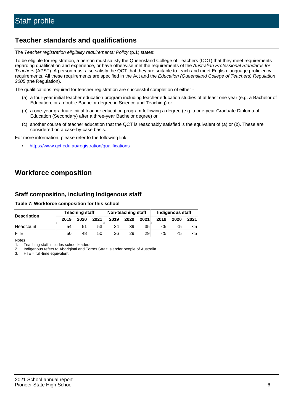# **Teacher standards and qualifications**

The Teacher registration eligibility requirements: Policy (p.1) states:

To be eligible for registration, a person must satisfy the Queensland College of Teachers (QCT) that they meet requirements regarding qualification and experience, or have otherwise met the requirements of the Australian Professional Standards for Teachers (APST). A person must also satisfy the QCT that they are suitable to teach and meet English language proficiency requirements. All these requirements are specified in the Act and the Education (Queensland College of Teachers) Regulation 2005 (the Regulation).

The qualifications required for teacher registration are successful completion of either -

- (a) a four-year initial teacher education program including teacher education studies of at least one year (e.g. a Bachelor of Education, or a double Bachelor degree in Science and Teaching) or
- (b) a one-year graduate initial teacher education program following a degree (e.g. a one-year Graduate Diploma of Education (Secondary) after a three-year Bachelor degree) or
- (c) another course of teacher education that the QCT is reasonably satisfied is the equivalent of (a) or (b). These are considered on a case-by-case basis.

For more information, please refer to the following link:

• <https://www.qct.edu.au/registration/qualifications>

# **Workforce composition**

# **Staff composition, including Indigenous staff**

### **Table 7: Workforce composition for this school**

|                    | <b>Teaching staff</b> |      |      | Non-teaching staff |      |      | Indigenous staff |      |      |
|--------------------|-----------------------|------|------|--------------------|------|------|------------------|------|------|
| <b>Description</b> | 2019                  | 2020 | 2021 | 2019               | 2020 | 2021 | 2019             | 2020 | 2021 |
| Headcount          | 54                    | 51   | 53   | 34                 | 39   | 35   | <5               | <5   |      |
| <b>FTF</b>         | 50                    | 48   | 50   | 26                 | 29   | 29   | <5               | ה>   |      |

Notes

1. Teaching staff includes school leaders.

2. Indigenous refers to Aboriginal and Torres Strait Islander people of Australia.

3. FTE = full-time equivalent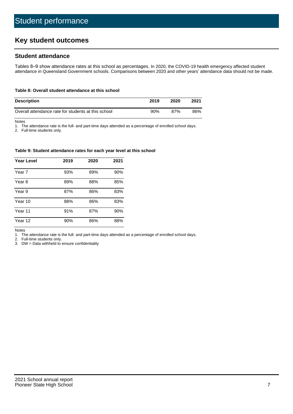# **Key student outcomes**

## **Student attendance**

Tables 8–9 show attendance rates at this school as percentages. In 2020, the COVID-19 health emergency affected student attendance in Queensland Government schools. Comparisons between 2020 and other years' attendance data should not be made.

#### **Table 8: Overall student attendance at this school**

| <b>Description</b>                                  | 2019 | 2020 | 2021 |
|-----------------------------------------------------|------|------|------|
| Overall attendance rate for students at this school | 90%  | 87%  | 86%  |

Notes

1. The attendance rate is the full- and part-time days attended as a percentage of enrolled school days.

2. Full-time students only.

#### **Table 9: Student attendance rates for each year level at this school**

| <b>Year Level</b> | 2019 | 2020 | 2021 |
|-------------------|------|------|------|
| Year 7            | 93%  | 89%  | 90%  |
| Year 8            | 89%  | 88%  | 85%  |
| Year 9            | 87%  | 86%  | 83%  |
| Year 10           | 88%  | 86%  | 83%  |
| Year 11           | 91%  | 87%  | 90%  |
| Year 12           | 90%  | 86%  | 88%  |

Notes

1. The attendance rate is the full- and part-time days attended as a percentage of enrolled school days.

2. Full-time students only.

3. DW = Data withheld to ensure confidentiality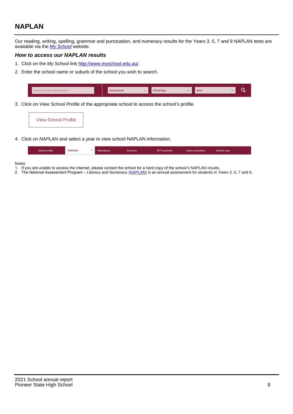# **NAPLAN**

Our reading, writing, spelling, grammar and punctuation, and numeracy results for the Years 3, 5, 7 and 9 NAPLAN tests are available via the [My School](http://www.myschool.edu.au/) website.

## **How to access our NAPLAN results**

- 1. Click on the My School link <http://www.myschool.edu.au/>.
- 2. Enter the school name or suburb of the school you wish to search.

| Search by school name or suburb | <b>School sector</b> | <b>School type</b>                        |          | <b>State</b> |  |
|---------------------------------|----------------------|-------------------------------------------|----------|--------------|--|
|                                 |                      |                                           |          |              |  |
|                                 |                      | $\sim$ $\sim$ $\sim$ $\sim$ $\sim$ $\sim$ | $\cdots$ |              |  |

3. Click on View School Profile of the appropriate school to access the school's profile.

| <b>View School Profile</b> |
|----------------------------|
|----------------------------|

4. Click on NAPLAN and select a year to view school NAPLAN information.

|  | School profile | <b>NAPLAN</b><br>$\sim$ 1 | Attendance | <b>Finances</b> | <b>VET</b> in schools | Senior secondary | Schools map |
|--|----------------|---------------------------|------------|-----------------|-----------------------|------------------|-------------|
|--|----------------|---------------------------|------------|-----------------|-----------------------|------------------|-------------|

#### Notes

- 1. If you are unable to access the internet, please contact the school for a hard copy of the school's NAPLAN results.
- 2. The National Assessment Program Literacy and Numeracy ([NAPLAN\)](http://www.nap.edu.au/naplan) is an annual assessment for students in Years 3, 5, 7 and 9.